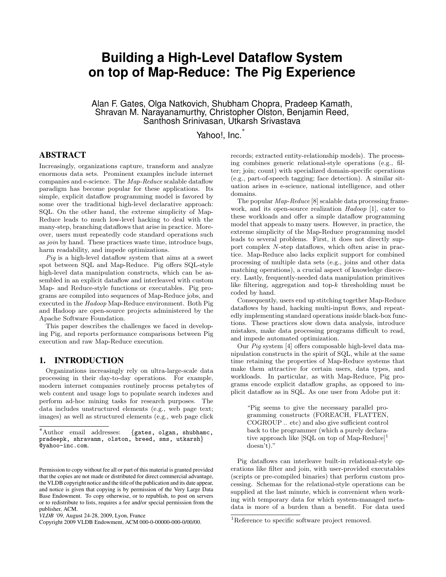# **Building a High-Level Dataflow System on top of Map-Reduce: The Pig Experience**

Alan F. Gates, Olga Natkovich, Shubham Chopra, Pradeep Kamath, Shravan M. Narayanamurthy, Christopher Olston, Benjamin Reed, Santhosh Srinivasan, Utkarsh Srivastava

Yahoo!, Inc.<sup>\*</sup>

# ABSTRACT

Increasingly, organizations capture, transform and analyze enormous data sets. Prominent examples include internet companies and e-science. The Map-Reduce scalable dataflow paradigm has become popular for these applications. Its simple, explicit dataflow programming model is favored by some over the traditional high-level declarative approach: SQL. On the other hand, the extreme simplicity of Map-Reduce leads to much low-level hacking to deal with the many-step, branching dataflows that arise in practice. Moreover, users must repeatedly code standard operations such as join by hand. These practices waste time, introduce bugs, harm readability, and impede optimizations.

Pig is a high-level dataflow system that aims at a sweet spot between SQL and Map-Reduce. Pig offers SQL-style high-level data manipulation constructs, which can be assembled in an explicit dataflow and interleaved with custom Map- and Reduce-style functions or executables. Pig programs are compiled into sequences of Map-Reduce jobs, and executed in the Hadoop Map-Reduce environment. Both Pig and Hadoop are open-source projects administered by the Apache Software Foundation.

This paper describes the challenges we faced in developing Pig, and reports performance comparisons between Pig execution and raw Map-Reduce execution.

# 1. INTRODUCTION

Organizations increasingly rely on ultra-large-scale data processing in their day-to-day operations. For example, modern internet companies routinely process petabytes of web content and usage logs to populate search indexes and perform ad-hoc mining tasks for research purposes. The data includes unstructured elements (e.g., web page text; images) as well as structured elements (e.g., web page click

Copyright 2009 VLDB Endowment, ACM 000-0-00000-000-0/00/00.

records; extracted entity-relationship models). The processing combines generic relational-style operations (e.g., filter; join; count) with specialized domain-specific operations (e.g., part-of-speech tagging; face detection). A similar situation arises in e-science, national intelligence, and other domains.

The popular Map-Reduce [8] scalable data processing framework, and its open-source realization Hadoop [1], cater to these workloads and offer a simple dataflow programming model that appeals to many users. However, in practice, the extreme simplicity of the Map-Reduce programming model leads to several problems. First, it does not directly support complex N-step dataflows, which often arise in practice. Map-Reduce also lacks explicit support for combined processing of multiple data sets (e.g., joins and other data matching operations), a crucial aspect of knowledge discovery. Lastly, frequently-needed data manipulation primitives like filtering, aggregation and top- $k$  thresholding must be coded by hand.

Consequently, users end up stitching together Map-Reduce dataflows by hand, hacking multi-input flows, and repeatedly implementing standard operations inside black-box functions. These practices slow down data analysis, introduce mistakes, make data processing programs difficult to read, and impede automated optimization.

Our Pig system [4] offers composable high-level data manipulation constructs in the spirit of SQL, while at the same time retaining the properties of Map-Reduce systems that make them attractive for certain users, data types, and workloads. In particular, as with Map-Reduce, Pig programs encode explicit dataflow graphs, as opposed to implicit dataflow as in SQL. As one user from Adobe put it:

"Pig seems to give the necessary parallel programming constructs (FOREACH, FLATTEN, COGROUP .. etc) and also give sufficient control back to the programmer (which a purely declarative approach like  $[SQL$  on top of Map-Reduce<sup>[1</sup>] doesn't)."

Pig dataflows can interleave built-in relational-style operations like filter and join, with user-provided executables (scripts or pre-compiled binaries) that perform custom processing. Schemas for the relational-style operations can be supplied at the last minute, which is convenient when working with temporary data for which system-managed metadata is more of a burden than a benefit. For data used

<sup>∗</sup>Author email addresses: {gates, olgan, shubhamc, pradeepk, shravanm, olston, breed, sms, utkarsh} @yahoo-inc.com.

Permission to copy without fee all or part of this material is granted provided that the copies are not made or distributed for direct commercial advantage, the VLDB copyright notice and the title of the publication and its date appear, and notice is given that copying is by permission of the Very Large Data Base Endowment. To copy otherwise, or to republish, to post on servers or to redistribute to lists, requires a fee and/or special permission from the publisher, ACM.

*VLDB '09,* August 24-28, 2009, Lyon, France

<sup>&</sup>lt;sup>1</sup>Reference to specific software project removed.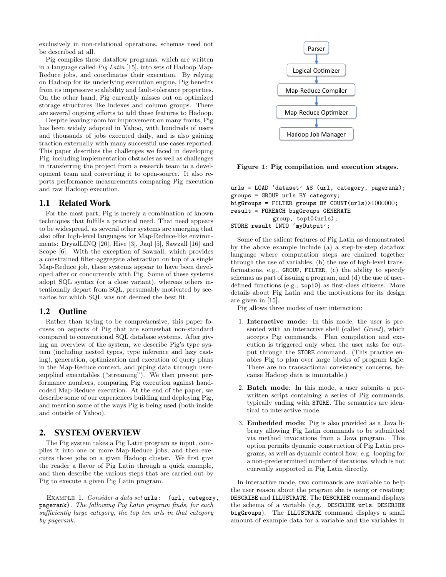exclusively in non-relational operations, schemas need not be described at all.

Pig compiles these dataflow programs, which are written in a language called Pig Latin [15], into sets of Hadoop Map-Reduce jobs, and coordinates their execution. By relying on Hadoop for its underlying execution engine, Pig benefits from its impressive scalability and fault-tolerance properties. On the other hand, Pig currently misses out on optimized storage structures like indexes and column groups. There are several ongoing efforts to add these features to Hadoop.

Despite leaving room for improvement on many fronts, Pig has been widely adopted in Yahoo, with hundreds of users and thousands of jobs executed daily, and is also gaining traction externally with many successful use cases reported. This paper describes the challenges we faced in developing Pig, including implementation obstacles as well as challenges in transferring the project from a research team to a development team and converting it to open-source. It also reports performance measurements comparing Pig execution and raw Hadoop execution.

#### 1.1 Related Work

For the most part, Pig is merely a combination of known techniques that fulfills a practical need. That need appears to be widespread, as several other systems are emerging that also offer high-level languages for Map-Reduce-like environments: DryadLINQ [20], Hive [3], Jaql [5], Sawzall [16] and Scope [6]. With the exception of Sawzall, which provides a constrained filter-aggregate abstraction on top of a single Map-Reduce job, these systems appear to have been developed after or concurrently with Pig. Some of these systems adopt SQL syntax (or a close variant), whereas others intentionally depart from SQL, presumably motivated by scenarios for which SQL was not deemed the best fit.

# 1.2 Outline

Rather than trying to be comprehensive, this paper focuses on aspects of Pig that are somewhat non-standard compared to conventional SQL database systems. After giving an overview of the system, we describe Pig's type system (including nested types, type inference and lazy casting), generation, optimization and execution of query plans in the Map-Reduce context, and piping data through usersupplied executables ("streaming"). We then present performance numbers, comparing Pig execution against handcoded Map-Reduce execution. At the end of the paper, we describe some of our experiences building and deploying Pig, and mention some of the ways Pig is being used (both inside and outside of Yahoo).

# 2. SYSTEM OVERVIEW

The Pig system takes a Pig Latin program as input, compiles it into one or more Map-Reduce jobs, and then executes those jobs on a given Hadoop cluster. We first give the reader a flavor of Pig Latin through a quick example, and then describe the various steps that are carried out by Pig to execute a given Pig Latin program.

EXAMPLE 1. Consider a data set urls: (url, category, pagerank). The following Pig Latin program finds, for each sufficiently large category, the top ten urls in that category by pagerank.



Figure 1: Pig compilation and execution stages.

urls = LOAD 'dataset' AS (url, category, pagerank); groups = GROUP urls BY category; bigGroups = FILTER groups BY COUNT(urls)>1000000; result = FOREACH bigGroups GENERATE group, top10(urls); STORE result INTO 'myOutput';

Some of the salient features of Pig Latin as demonstrated by the above example include (a) a step-by-step dataflow language where computation steps are chained together through the use of variables, (b) the use of high-level transformations, e.g., GROUP, FILTER, (c) the ability to specify schemas as part of issuing a program, and (d) the use of userdefined functions (e.g., top10) as first-class citizens. More details about Pig Latin and the motivations for its design are given in [15].

Pig allows three modes of user interaction:

- 1. Interactive mode: In this mode, the user is presented with an interactive shell (called *Grunt*), which accepts Pig commands. Plan compilation and execution is triggered only when the user asks for output through the STORE command. (This practice enables Pig to plan over large blocks of program logic. There are no transactional consistency concerns, because Hadoop data is immutable.)
- 2. Batch mode: In this mode, a user submits a prewritten script containing a series of Pig commands, typically ending with STORE. The semantics are identical to interactive mode.
- 3. Embedded mode: Pig is also provided as a Java library allowing Pig Latin commands to be submitted via method invocations from a Java program. This option permits dynamic construction of Pig Latin programs, as well as dynamic control flow, e.g. looping for a non-predetermined number of iterations, which is not currently supported in Pig Latin directly.

In interactive mode, two commands are available to help the user reason about the program she is using or creating: DESCRIBE and ILLUSTRATE. The DESCRIBE command displays the schema of a variable (e.g. DESCRIBE urls, DESCRIBE bigGroups). The ILLUSTRATE command displays a small amount of example data for a variable and the variables in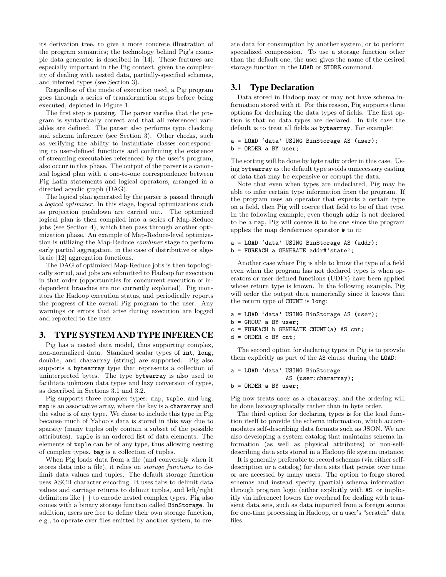its derivation tree, to give a more concrete illustration of the program semantics; the technology behind Pig's example data generator is described in [14]. These features are especially important in the Pig context, given the complexity of dealing with nested data, partially-specified schemas, and inferred types (see Section 3).

Regardless of the mode of execution used, a Pig program goes through a series of transformation steps before being executed, depicted in Figure 1.

The first step is parsing. The parser verifies that the program is syntactically correct and that all referenced variables are defined. The parser also performs type checking and schema inference (see Section 3). Other checks, such as verifying the ability to instantiate classes corresponding to user-defined functions and confirming the existence of streaming executables referenced by the user's program, also occur in this phase. The output of the parser is a canonical logical plan with a one-to-one correspondence between Pig Latin statements and logical operators, arranged in a directed acyclic graph (DAG).

The logical plan generated by the parser is passed through a logical optimizer. In this stage, logical optimizations such as projection pushdown are carried out. The optimized logical plan is then compiled into a series of Map-Reduce jobs (see Section 4), which then pass through another optimization phase. An example of Map-Reduce-level optimization is utilizing the Map-Reduce combiner stage to perform early partial aggregation, in the case of distributive or algebraic [12] aggregation functions.

The DAG of optimized Map-Reduce jobs is then topologically sorted, and jobs are submitted to Hadoop for execution in that order (opportunities for concurrent execution of independent branches are not currently exploited). Pig monitors the Hadoop execution status, and periodically reports the progress of the overall Pig program to the user. Any warnings or errors that arise during execution are logged and reported to the user.

# 3. TYPE SYSTEM AND TYPE INFERENCE

Pig has a nested data model, thus supporting complex, non-normalized data. Standard scalar types of int, long, double, and chararray (string) are supported. Pig also supports a bytearray type that represents a collection of uninterpreted bytes. The type bytearray is also used to facilitate unknown data types and lazy conversion of types, as described in Sections 3.1 and 3.2.

Pig supports three complex types: map, tuple, and bag. map is an associative array, where the key is a chararray and the value is of any type. We chose to include this type in Pig because much of Yahoo's data is stored in this way due to sparsity (many tuples only contain a subset of the possible attributes). tuple is an ordered list of data elements. The elements of tuple can be of any type, thus allowing nesting of complex types. bag is a collection of tuples.

When Pig loads data from a file (and conversely when it stores data into a file), it relies on storage functions to delimit data values and tuples. The default storage function uses ASCII character encoding. It uses tabs to delimit data values and carriage returns to delimit tuples, and left/right delimiters like { } to encode nested complex types. Pig also comes with a binary storage function called BinStorage. In addition, users are free to define their own storage function, e.g., to operate over files emitted by another system, to create data for consumption by another system, or to perform specialized compression. To use a storage function other than the default one, the user gives the name of the desired storage function in the LOAD or STORE command.

# 3.1 Type Declaration

Data stored in Hadoop may or may not have schema information stored with it. For this reason, Pig supports three options for declaring the data types of fields. The first option is that no data types are declared. In this case the default is to treat all fields as bytearray. For example:

```
a = LOAD 'data' USING BinStorage AS (user);
b = 0RDER a BY user;
```
The sorting will be done by byte radix order in this case. Using bytearray as the default type avoids unnecessary casting of data that may be expensive or corrupt the data.

Note that even when types are undeclared, Pig may be able to infer certain type information from the program. If the program uses an operator that expects a certain type on a field, then Pig will coerce that field to be of that type. In the following example, even though addr is not declared to be a map, Pig will coerce it to be one since the program applies the map dereference operator # to it:

```
a = LOAD 'data' USING BinStorage AS (addr);
b = FOREACH a GENERATE addr#'state';
```
Another case where Pig is able to know the type of a field even when the program has not declared types is when operators or user-defined functions (UDFs) have been applied whose return type is known. In the following example, Pig will order the output data numerically since it knows that the return type of COUNT is long:

```
a = LOAD 'data' USING BinStorage AS (user);
```

```
b = GROUP a BY user;
```

```
c = FOREACH b GENERATE COUNT(a) AS cnt;
```

```
d = ORDER c BY cnt;
```
The second option for declaring types in Pig is to provide them explicitly as part of the AS clause during the LOAD:

```
a = LOAD 'data' USING BinStorage
                AS (user:chararray);
```

```
b = 0RDER a BY user;
```
Pig now treats user as a chararray, and the ordering will be done lexicographically rather than in byte order.

The third option for declaring types is for the load function itself to provide the schema information, which accommodates self-describing data formats such as JSON. We are also developing a system catalog that maintains schema information (as well as physical attributes) of non-selfdescribing data sets stored in a Hadoop file system instance.

It is generally preferable to record schemas (via either selfdescription or a catalog) for data sets that persist over time or are accessed by many users. The option to forgo stored schemas and instead specify (partial) schema information through program logic (either explicitly with AS, or implicitly via inference) lowers the overhead for dealing with transient data sets, such as data imported from a foreign source for one-time processing in Hadoop, or a user's "scratch" data files.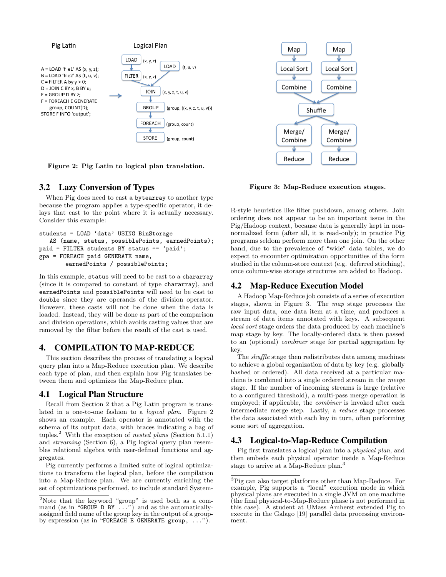

Figure 2: Pig Latin to logical plan translation.

# 3.2 Lazy Conversion of Types

When Pig does need to cast a bytearray to another type because the program applies a type-specific operator, it delays that cast to the point where it is actually necessary. Consider this example:

```
students = LOAD 'data' USING BinStorage
   AS (name, status, possiblePoints, earnedPoints);
paid = FILTER students BY status == 'paid';
gpa = FOREACH paid GENERATE name,
       earnedPoints / possiblePoints;
```
In this example, status will need to be cast to a chararray (since it is compared to constant of type chararray), and earnedPoints and possiblePoints will need to be cast to double since they are operands of the division operator. However, these casts will not be done when the data is loaded. Instead, they will be done as part of the comparison and division operations, which avoids casting values that are removed by the filter before the result of the cast is used.

# 4. COMPILATION TO MAP-REDUCE

This section describes the process of translating a logical query plan into a Map-Reduce execution plan. We describe each type of plan, and then explain how Pig translates between them and optimizes the Map-Reduce plan.

#### 4.1 Logical Plan Structure

Recall from Section 2 that a Pig Latin program is translated in a one-to-one fashion to a logical plan. Figure 2 shows an example. Each operator is annotated with the schema of its output data, with braces indicating a bag of tuples.<sup>2</sup> With the exception of nested plans (Section 5.1.1) and streaming (Section 6), a Pig logical query plan resembles relational algebra with user-defined functions and aggregates.

Pig currently performs a limited suite of logical optimizations to transform the logical plan, before the compilation into a Map-Reduce plan. We are currently enriching the set of optimizations performed, to include standard System-



Figure 3: Map-Reduce execution stages.

R-style heuristics like filter pushdown, among others. Join ordering does not appear to be an important issue in the Pig/Hadoop context, because data is generally kept in nonnormalized form (after all, it is read-only); in practice Pig programs seldom perform more than one join. On the other hand, due to the prevalence of "wide" data tables, we do expect to encounter optimization opportunities of the form studied in the column-store context (e.g. deferred stitching), once column-wise storage structures are added to Hadoop.

#### 4.2 Map-Reduce Execution Model

A Hadoop Map-Reduce job consists of a series of execution stages, shown in Figure 3. The map stage processes the raw input data, one data item at a time, and produces a stream of data items annotated with keys. A subsequent local sort stage orders the data produced by each machine's map stage by key. The locally-ordered data is then passed to an (optional) combiner stage for partial aggregation by key.

The shuffle stage then redistributes data among machines to achieve a global organization of data by key (e.g. globally hashed or ordered). All data received at a particular machine is combined into a single ordered stream in the merge stage. If the number of incoming streams is large (relative to a configured threshold), a multi-pass merge operation is employed; if applicable, the combiner is invoked after each intermediate merge step. Lastly, a reduce stage processes the data associated with each key in turn, often performing some sort of aggregation.

# 4.3 Logical-to-Map-Reduce Compilation

Pig first translates a logical plan into a physical plan, and then embeds each physical operator inside a Map-Reduce stage to arrive at a Map-Reduce plan.<sup>3</sup>

<sup>&</sup>lt;sup>2</sup>Note that the keyword "group" is used both as a command (as in "GROUP D BY ...") and as the automaticallyassigned field name of the group key in the output of a groupby expression (as in "FOREACH E GENERATE group, ...").

<sup>3</sup>Pig can also target platforms other than Map-Reduce. For example, Pig supports a "local" execution mode in which physical plans are executed in a single JVM on one machine (the final physical-to-Map-Reduce phase is not performed in this case). A student at UMass Amherst extended Pig to execute in the Galago [19] parallel data processing environment.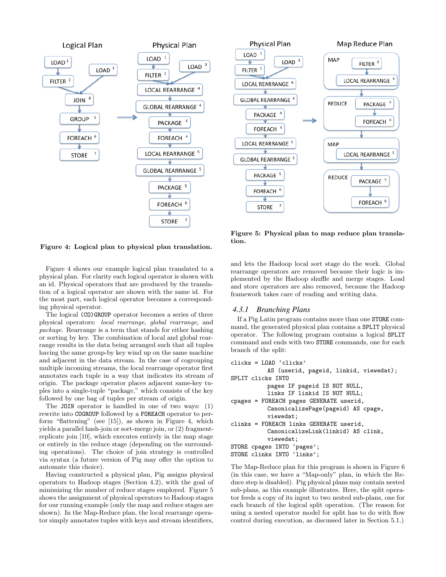



Figure 4: Logical plan to physical plan translation.

Figure 4 shows our example logical plan translated to a physical plan. For clarity each logical operator is shown with an id. Physical operators that are produced by the translation of a logical operator are shown with the same id. For the most part, each logical operator becomes a corresponding physical operator.

The logical (CO)GROUP operator becomes a series of three physical operators: local rearrange, global rearrange, and package. Rearrange is a term that stands for either hashing or sorting by key. The combination of local and global rearrange results in the data being arranged such that all tuples having the same group-by key wind up on the same machine and adjacent in the data stream. In the case of cogrouping multiple incoming streams, the local rearrange operator first annotates each tuple in a way that indicates its stream of origin. The package operator places adjacent same-key tuples into a single-tuple "package," which consists of the key followed by one bag of tuples per stream of origin.

The JOIN operator is handled in one of two ways: (1) rewrite into COGROUP followed by a FOREACH operator to perform "flattening" (see [15]), as shown in Figure 4, which yields a parallel hash-join or sort-merge join, or (2) fragmentreplicate join [10], which executes entirely in the map stage or entirely in the reduce stage (depending on the surrounding operations). The choice of join strategy is controlled via syntax (a future version of Pig may offer the option to automate this choice).

Having constructed a physical plan, Pig assigns physical operators to Hadoop stages (Section 4.2), with the goal of minimizing the number of reduce stages employed. Figure 5 shows the assignment of physical operators to Hadoop stages for our running example (only the map and reduce stages are shown). In the Map-Reduce plan, the local rearrange operator simply annotates tuples with keys and stream identifiers,

Figure 5: Physical plan to map reduce plan translation.

and lets the Hadoop local sort stage do the work. Global rearrange operators are removed because their logic is implemented by the Hadoop shuffle and merge stages. Load and store operators are also removed, because the Hadoop framework takes care of reading and writing data.

#### *4.3.1 Branching Plans*

If a Pig Latin program contains more than one STORE command, the generated physical plan contains a SPLIT physical operator. The following program contains a logical SPLIT command and ends with two STORE commands, one for each branch of the split:

```
clicks = LOAD 'clicks'
           AS (userid, pageid, linkid, viewedat);
SPLIT clicks INTO
          pages IF pageid IS NOT NULL,
           links IF linkid IS NOT NULL;
cpages = FOREACH pages GENERATE userid,
           CanonicalizePage(pageid) AS cpage,
           viewedat;
clinks = FOREACH links GENERATE userid,
           CanonicalizeLink(linkid) AS clink,
           viewedat;
STORE cpages INTO 'pages';
STORE clinks INTO 'links';
```
The Map-Reduce plan for this program is shown in Figure 6 (in this case, we have a "Map-only" plan, in which the Reduce step is disabled). Pig physical plans may contain nested sub-plans, as this example illustrates. Here, the split operator feeds a copy of its input to two nested sub-plans, one for each branch of the logical split operation. (The reason for using a nested operator model for split has to do with flow control during execution, as discussed later in Section 5.1.)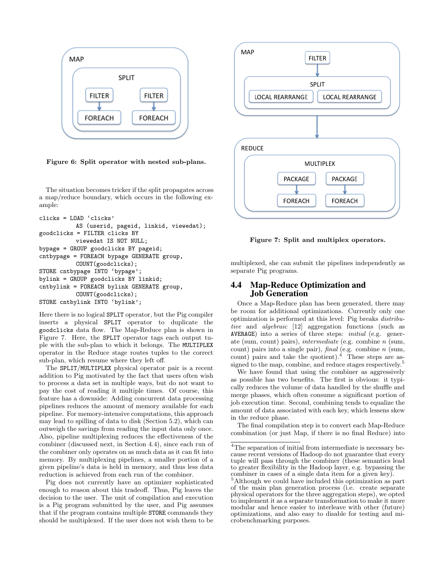

Figure 6: Split operator with nested sub-plans.

The situation becomes tricker if the split propagates across a map/reduce boundary, which occurs in the following example:

```
clicks = LOAD 'clicks'
          AS (userid, pageid, linkid, viewedat);
goodclicks = FILTER clicks BY
           viewedat IS NOT NULL;
bypage = GROUP goodclicks BY pageid;
cntbypage = FOREACH bypage GENERATE group,
          COUNT(goodclicks);
STORE cntbypage INTO 'bypage';
bylink = GROUP goodclicks BY linkid;
cntbylink = FOREACH bylink GENERATE group,
          COUNT(goodclicks);
STORE cntbylink INTO 'bylink';
```
Here there is no logical SPLIT operator, but the Pig compiler inserts a physical SPLIT operator to duplicate the goodclicks data flow. The Map-Reduce plan is shown in Figure 7. Here, the SPLIT operator tags each output tuple with the sub-plan to which it belongs. The MULTIPLEX operator in the Reduce stage routes tuples to the correct sub-plan, which resume where they left off.

The SPLIT/MULTIPLEX physical operator pair is a recent addition to Pig motivated by the fact that users often wish to process a data set in multiple ways, but do not want to pay the cost of reading it multiple times. Of course, this feature has a downside: Adding concurrent data processing pipelines reduces the amount of memory available for each pipeline. For memory-intensive computations, this approach may lead to spilling of data to disk (Section 5.2), which can outweigh the savings from reading the input data only once. Also, pipeline multiplexing reduces the effectiveness of the combiner (discussed next, in Section 4.4), since each run of the combiner only operates on as much data as it can fit into memory. By multiplexing pipelines, a smaller portion of a given pipeline's data is held in memory, and thus less data reduction is achieved from each run of the combiner.

Pig does not currently have an optimizer sophisticated enough to reason about this tradeoff. Thus, Pig leaves the decision to the user. The unit of compilation and execution is a Pig program submitted by the user, and Pig assumes that if the program contains multiple STORE commands they should be multiplexed. If the user does not wish them to be



Figure 7: Split and multiplex operators.

multiplexed, she can submit the pipelines independently as separate Pig programs.

## 4.4 Map-Reduce Optimization and Job Generation

Once a Map-Reduce plan has been generated, there may be room for additional optimizations. Currently only one optimization is performed at this level: Pig breaks distributive and algebraic [12] aggregation functions (such as AVERAGE) into a series of three steps: initial (e.g. generate (sum, count) pairs), intermediate (e.g. combine n (sum, count) pairs into a single pair),  $\text{final}$  (e.g. combine n (sum, count) pairs and take the quotient). $4$  These steps are assigned to the map, combine, and reduce stages respectively.<sup>5</sup>

We have found that using the combiner as aggressively as possible has two benefits. The first is obvious: it typically reduces the volume of data handled by the shuffle and merge phases, which often consume a significant portion of job execution time. Second, combining tends to equalize the amount of data associated with each key, which lessens skew in the reduce phase.

The final compilation step is to convert each Map-Reduce combination (or just Map, if there is no final Reduce) into

<sup>&</sup>lt;sup>4</sup>The separation of initial from intermediate is necessary because recent versions of Hadoop do not guarantee that every tuple will pass through the combiner (these semantics lead to greater flexibility in the Hadoop layer, e.g. bypassing the combiner in cases of a single data item for a given key).

<sup>&</sup>lt;sup>5</sup>Although we could have included this optimization as part of the main plan generation process (i.e. create separate physical operators for the three aggregation steps), we opted to implement it as a separate transformation to make it more modular and hence easier to interleave with other (future) optimizations, and also easy to disable for testing and microbenchmarking purposes.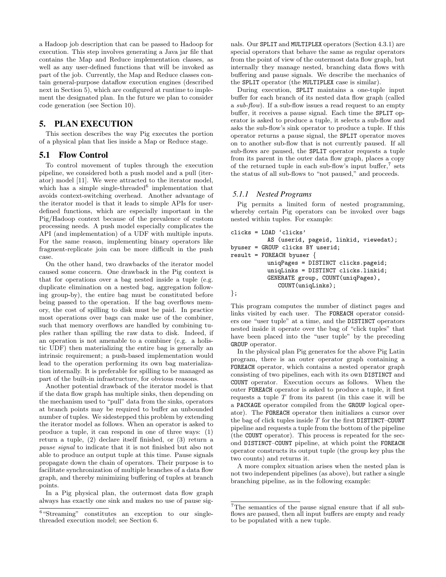a Hadoop job description that can be passed to Hadoop for execution. This step involves generating a Java jar file that contains the Map and Reduce implementation classes, as well as any user-defined functions that will be invoked as part of the job. Currently, the Map and Reduce classes contain general-purpose dataflow execution engines (described next in Section 5), which are configured at runtime to implement the designated plan. In the future we plan to consider code generation (see Section 10).

# 5. PLAN EXECUTION

This section describes the way Pig executes the portion of a physical plan that lies inside a Map or Reduce stage.

#### 5.1 Flow Control

To control movement of tuples through the execution pipeline, we considered both a push model and a pull (iterator) model [11]. We were attracted to the iterator model, which has a simple single-threaded  $6$  implementation that avoids context-switching overhead. Another advantage of the iterator model is that it leads to simple APIs for userdefined functions, which are especially important in the Pig/Hadoop context because of the prevalence of custom processing needs. A push model especially complicates the API (and implementation) of a UDF with multiple inputs. For the same reason, implementing binary operators like fragment-replicate join can be more difficult in the push case.

On the other hand, two drawbacks of the iterator model caused some concern. One drawback in the Pig context is that for operations over a bag nested inside a tuple (e.g. duplicate elimination on a nested bag, aggregation following group-by), the entire bag must be constituted before being passed to the operation. If the bag overflows memory, the cost of spilling to disk must be paid. In practice most operations over bags can make use of the combiner, such that memory overflows are handled by combining tuples rather than spilling the raw data to disk. Indeed, if an operation is not amenable to a combiner (e.g. a holistic UDF) then materializing the entire bag is generally an intrinsic requirement; a push-based implementation would lead to the operation performing its own bag materialization internally. It is preferable for spilling to be managed as part of the built-in infrastructure, for obvious reasons.

Another potential drawback of the iterator model is that if the data flow graph has multiple sinks, then depending on the mechanism used to "pull" data from the sinks, operators at branch points may be required to buffer an unbounded number of tuples. We sidestepped this problem by extending the iterator model as follows. When an operator is asked to produce a tuple, it can respond in one of three ways: (1) return a tuple, (2) declare itself finished, or (3) return a pause signal to indicate that it is not finished but also not able to produce an output tuple at this time. Pause signals propagate down the chain of operators. Their purpose is to facilitate synchronization of multiple branches of a data flow graph, and thereby minimizing buffering of tuples at branch points.

In a Pig physical plan, the outermost data flow graph always has exactly one sink and makes no use of pause signals. Our SPLIT and MULTIPLEX operators (Section 4.3.1) are special operators that behave the same as regular operators from the point of view of the outermost data flow graph, but internally they manage nested, branching data flows with buffering and pause signals. We describe the mechanics of the SPLIT operator (the MULTIPLEX case is similar).

During execution, SPLIT maintains a one-tuple input buffer for each branch of its nested data flow graph (called a sub-flow). If a sub-flow issues a read request to an empty buffer, it receives a pause signal. Each time the SPLIT operator is asked to produce a tuple, it selects a sub-flow and asks the sub-flow's sink operator to produce a tuple. If this operator returns a pause signal, the SPLIT operator moves on to another sub-flow that is not currently paused. If all sub-flows are paused, the SPLIT operator requests a tuple from its parent in the outer data flow graph, places a copy of the returned tuple in each sub-flow's input buffer,<sup>7</sup> sets the status of all sub-flows to "not paused," and proceeds.

#### *5.1.1 Nested Programs*

Pig permits a limited form of nested programming, whereby certain Pig operators can be invoked over bags nested within tuples. For example:

```
clicks = LOAD 'clicks'
```

```
AS (userid, pageid, linkid, viewedat);
byuser = GROUP clicks BY userid;
result = FOREACH byuser {
           uniqPages = DISTINCT clicks.pageid;
           uniqLinks = DISTINCT clicks.linkid;
           GENERATE group, COUNT(uniqPages),
              COUNT(uniqLinks);
```
};

This program computes the number of distinct pages and links visited by each user. The FOREACH operator considers one "user tuple" at a time, and the DISTINCT operators nested inside it operate over the bag of "click tuples" that have been placed into the "user tuple" by the preceding GROUP operator.

In the physical plan Pig generates for the above Pig Latin program, there is an outer operator graph containing a FOREACH operator, which contains a nested operator graph consisting of two pipelines, each with its own DISTINCT and COUNT operator. Execution occurs as follows. When the outer FOREACH operator is asked to produce a tuple, it first requests a tuple  $T$  from its parent (in this case it will be a PACKAGE operator compiled from the GROUP logical operator). The FOREACH operator then initializes a cursor over the bag of click tuples inside  $T$  for the first DISTINCT–COUNT pipeline and requests a tuple from the bottom of the pipeline (the COUNT operator). This process is repeated for the second DISTINCT–COUNT pipeline, at which point the FOREACH operator constructs its output tuple (the group key plus the two counts) and returns it.

A more complex situation arises when the nested plan is not two independent pipelines (as above), but rather a single branching pipeline, as in the following example:

<sup>6</sup> "Streaming" constitutes an exception to our singlethreaded execution model; see Section 6.

<sup>&</sup>lt;sup>7</sup>The semantics of the pause signal ensure that if all subflows are paused, then all input buffers are empty and ready to be populated with a new tuple.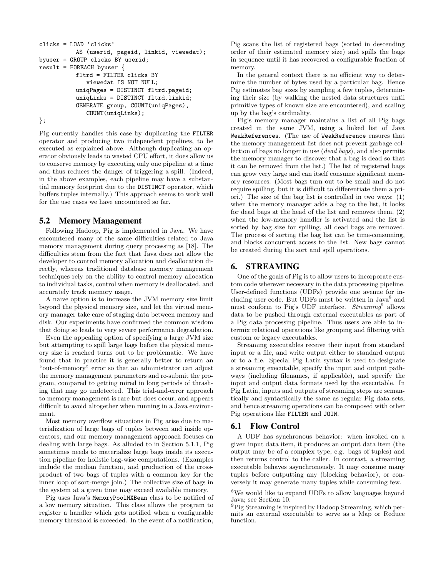```
clicks = LOAD 'clicks'
          AS (userid, pageid, linkid, viewedat);
byuser = GROUP clicks BY userid;
result = FOREACH byuser {
          fltrd = FILTER clicks BY
              viewedat IS NOT NULL;
          uniqPages = DISTINCT fltrd.pageid;
           uniqLinks = DISTINCT fltrd.linkid;
           GENERATE group, COUNT(uniqPages),
              COUNT(uniqLinks);
};
```
Pig currently handles this case by duplicating the FILTER operator and producing two independent pipelines, to be executed as explained above. Although duplicating an operator obviously leads to wasted CPU effort, it does allow us to conserve memory by executing only one pipeline at a time and thus reduces the danger of triggering a spill. (Indeed, in the above examples, each pipeline may have a substantial memory footprint due to the DISTINCT operator, which buffers tuples internally.) This approach seems to work well for the use cases we have encountered so far.

# 5.2 Memory Management

Following Hadoop, Pig is implemented in Java. We have encountered many of the same difficulties related to Java memory management during query processing as [18]. The difficulties stem from the fact that Java does not allow the developer to control memory allocation and deallocation directly, whereas traditional database memory management techniques rely on the ability to control memory allocation to individual tasks, control when memory is deallocated, and accurately track memory usage.

A naive option is to increase the JVM memory size limit beyond the physical memory size, and let the virtual memory manager take care of staging data between memory and disk. Our experiments have confirmed the common wisdom that doing so leads to very severe performance degradation.

Even the appealing option of specifying a large JVM size but attempting to spill large bags before the physical memory size is reached turns out to be problematic. We have found that in practice it is generally better to return an "out-of-memory" error so that an administrator can adjust the memory management parameters and re-submit the program, compared to getting mired in long periods of thrashing that may go undetected. This trial-and-error approach to memory management is rare but does occur, and appears difficult to avoid altogether when running in a Java environment.

Most memory overflow situations in Pig arise due to materialization of large bags of tuples between and inside operators, and our memory management approach focuses on dealing with large bags. As alluded to in Section 5.1.1, Pig sometimes needs to materialize large bags inside its execution pipeline for holistic bag-wise computations. (Examples include the median function, and production of the crossproduct of two bags of tuples with a common key for the inner loop of sort-merge join.) The collective size of bags in the system at a given time may exceed available memory.

Pig uses Java's MemoryPoolMXBean class to be notified of a low memory situation. This class allows the program to register a handler which gets notified when a configurable memory threshold is exceeded. In the event of a notification,

Pig scans the list of registered bags (sorted in descending order of their estimated memory size) and spills the bags in sequence until it has recovered a configurable fraction of memory.

In the general context there is no efficient way to determine the number of bytes used by a particular bag. Hence Pig estimates bag sizes by sampling a few tuples, determining their size (by walking the nested data structures until primitive types of known size are encountered), and scaling up by the bag's cardinality.

Pig's memory manager maintains a list of all Pig bags created in the same JVM, using a linked list of Java WeakReferences. (The use of WeakReference ensures that the memory management list does not prevent garbage collection of bags no longer in use (dead bags), and also permits the memory manager to discover that a bag is dead so that it can be removed from the list.) The list of registered bags can grow very large and can itself consume significant memory resources. (Most bags turn out to be small and do not require spilling, but it is difficult to differentiate them a priori.) The size of the bag list is controlled in two ways: (1) when the memory manager adds a bag to the list, it looks for dead bags at the head of the list and removes them, (2) when the low-memory handler is activated and the list is sorted by bag size for spilling, all dead bags are removed. The process of sorting the bag list can be time-consuming, and blocks concurrent access to the list. New bags cannot be created during the sort and spill operations.

## 6. STREAMING

One of the goals of Pig is to allow users to incorporate custom code wherever necessary in the data processing pipeline. User-defined functions (UDFs) provide one avenue for including user code. But UDFs must be written in Java<sup>8</sup> and must conform to Pig's UDF interface. Streaming<sup>9</sup> allows data to be pushed through external executables as part of a Pig data processing pipeline. Thus users are able to intermix relational operations like grouping and filtering with custom or legacy executables.

Streaming executables receive their input from standard input or a file, and write output either to standard output or to a file. Special Pig Latin syntax is used to designate a streaming executable, specify the input and output pathways (including filenames, if applicable), and specify the input and output data formats used by the executable. In Pig Latin, inputs and outputs of streaming steps are semantically and syntactically the same as regular Pig data sets, and hence streaming operations can be composed with other Pig operations like FILTER and JOIN.

#### 6.1 Flow Control

A UDF has synchronous behavior: when invoked on a given input data item, it produces an output data item (the output may be of a complex type, e.g. bags of tuples) and then returns control to the caller. In contrast, a streaming executable behaves asynchronously. It may consume many tuples before outputting any (blocking behavior), or conversely it may generate many tuples while consuming few.

 ${}^{8}{\rm We}$  would like to expand UDFs to allow languages beyond Java; see Section 10.

<sup>9</sup>Pig Streaming is inspired by Hadoop Streaming, which permits an external executable to serve as a Map or Reduce function.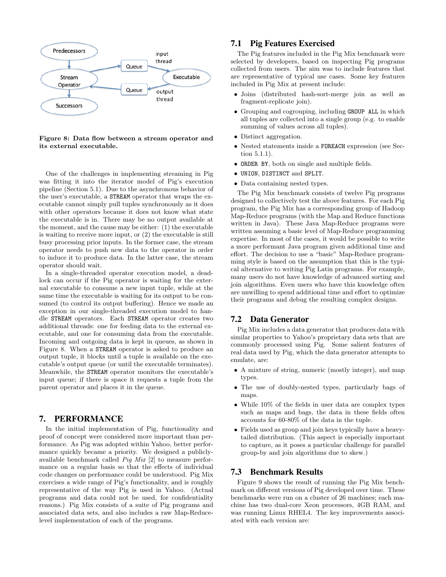

Figure 8: Data flow between a stream operator and its external executable.

One of the challenges in implementing streaming in Pig was fitting it into the iterator model of Pig's execution pipeline (Section 5.1). Due to the asynchronous behavior of the user's executable, a STREAM operator that wraps the executable cannot simply pull tuples synchronously as it does with other operators because it does not know what state the executable is in. There may be no output available at the moment, and the cause may be either: (1) the executable is waiting to receive more input, or (2) the executable is still busy processing prior inputs. In the former case, the stream operator needs to push new data to the operator in order to induce it to produce data. In the latter case, the stream operator should wait.

In a single-threaded operator execution model, a deadlock can occur if the Pig operator is waiting for the external executable to consume a new input tuple, while at the same time the executable is waiting for its output to be consumed (to control its output buffering). Hence we made an exception in our single-threaded execution model to handle STREAM operators. Each STREAM operator creates two additional threads: one for feeding data to the external executable, and one for consuming data from the executable. Incoming and outgoing data is kept in queues, as shown in Figure 8. When a STREAM operator is asked to produce an output tuple, it blocks until a tuple is available on the executable's output queue (or until the executable terminates). Meanwhile, the STREAM operator monitors the executable's input queue; if there is space it requests a tuple from the parent operator and places it in the queue.

#### 7. PERFORMANCE

In the initial implementation of Pig, functionality and proof of concept were considered more important than performance. As Pig was adopted within Yahoo, better performance quickly became a priority. We designed a publiclyavailable benchmark called Pig Mix [2] to measure performance on a regular basis so that the effects of individual code changes on performance could be understood. Pig Mix exercises a wide range of Pig's functionality, and is roughly representative of the way Pig is used in Yahoo. (Actual programs and data could not be used, for confidentiality reasons.) Pig Mix consists of a suite of Pig programs and associated data sets, and also includes a raw Map-Reducelevel implementation of each of the programs.

# 7.1 Pig Features Exercised

The Pig features included in the Pig Mix benchmark were selected by developers, based on inspecting Pig programs collected from users. The aim was to include features that are representative of typical use cases. Some key features included in Pig Mix at present include:

- Joins (distributed hash-sort-merge join as well as fragment-replicate join).
- Grouping and cogrouping, including GROUP ALL in which all tuples are collected into a single group (e.g. to enable summing of values across all tuples).
- Distinct aggregation.
- Nested statements inside a FOREACH expression (see Section 5.1.1).
- ORDER BY, both on single and multiple fields.
- UNION, DISTINCT and SPLIT.
- Data containing nested types.

The Pig Mix benchmark consists of twelve Pig programs designed to collectively test the above features. For each Pig program, the Pig Mix has a corresponding group of Hadoop Map-Reduce programs (with the Map and Reduce functions written in Java). These Java Map-Reduce programs were written assuming a basic level of Map-Reduce programming expertise. In most of the cases, it would be possible to write a more performant Java program given additional time and effort. The decision to use a "basic" Map-Reduce programming style is based on the assumption that this is the typical alternative to writing Pig Latin programs. For example, many users do not have knowledge of advanced sorting and join algorithms. Even users who have this knowledge often are unwilling to spend additional time and effort to optimize their programs and debug the resulting complex designs.

#### 7.2 Data Generator

Pig Mix includes a data generator that produces data with similar properties to Yahoo's proprietary data sets that are commonly processed using Pig. Some salient features of real data used by Pig, which the data generator attempts to emulate, are:

- A mixture of string, numeric (mostly integer), and map types.
- The use of doubly-nested types, particularly bags of maps.
- While 10% of the fields in user data are complex types such as maps and bags, the data in these fields often accounts for 60-80% of the data in the tuple.
- Fields used as group and join keys typically have a heavytailed distribution. (This aspect is especially important to capture, as it poses a particular challenge for parallel group-by and join algorithms due to skew.)

#### 7.3 Benchmark Results

Figure 9 shows the result of running the Pig Mix benchmark on different versions of Pig developed over time. These benchmarks were run on a cluster of 26 machines; each machine has two dual-core Xeon processors, 4GB RAM, and was running Linux RHEL4. The key improvements associated with each version are: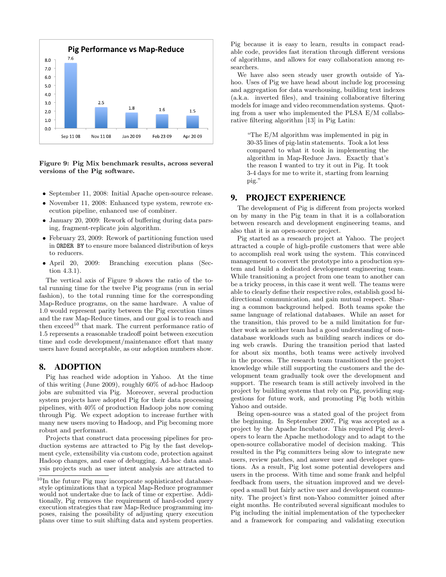

Figure 9: Pig Mix benchmark results, across several versions of the Pig software.

- September 11, 2008: Initial Apache open-source release.
- November 11, 2008: Enhanced type system, rewrote execution pipeline, enhanced use of combiner.
- January 20, 2009: Rework of buffering during data parsing, fragment-replicate join algorithm.
- February 23, 2009: Rework of partitioning function used in ORDER BY to ensure more balanced distribution of keys to reducers.
- April 20, 2009: Branching execution plans (Section 4.3.1).

The vertical axis of Figure 9 shows the ratio of the total running time for the twelve Pig programs (run in serial fashion), to the total running time for the corresponding Map-Reduce programs, on the same hardware. A value of 1.0 would represent parity between the Pig execution times and the raw Map-Reduce times, and our goal is to reach and then exceed<sup>10</sup> that mark. The current performance ratio of 1.5 represents a reasonable tradeoff point between execution time and code development/maintenance effort that many users have found acceptable, as our adoption numbers show.

# 8. ADOPTION

Pig has reached wide adoption in Yahoo. At the time of this writing (June 2009), roughly 60% of ad-hoc Hadoop jobs are submitted via Pig. Moreover, several production system projects have adopted Pig for their data processing pipelines, with 40% of production Hadoop jobs now coming through Pig. We expect adoption to increase further with many new users moving to Hadoop, and Pig becoming more robust and performant.

Projects that construct data processing pipelines for production systems are attracted to Pig by the fast development cycle, extensibility via custom code, protection against Hadoop changes, and ease of debugging. Ad-hoc data analysis projects such as user intent analysis are attracted to Pig because it is easy to learn, results in compact readable code, provides fast iteration through different versions of algorithms, and allows for easy collaboration among researchers.

We have also seen steady user growth outside of Yahoo. Uses of Pig we have head about include log processing and aggregation for data warehousing, building text indexes (a.k.a. inverted files), and training collaborative filtering models for image and video recommendation systems. Quoting from a user who implemented the PLSA E/M collaborative filtering algorithm [13] in Pig Latin:

"The E/M algorithm was implemented in pig in 30-35 lines of pig-latin statements. Took a lot less compared to what it took in implementing the algorithm in Map-Reduce Java. Exactly that's the reason I wanted to try it out in Pig. It took 3-4 days for me to write it, starting from learning pig."

## 9. PROJECT EXPERIENCE

The development of Pig is different from projects worked on by many in the Pig team in that it is a collaboration between research and development engineering teams, and also that it is an open-source project.

Pig started as a research project at Yahoo. The project attracted a couple of high-profile customers that were able to accomplish real work using the system. This convinced management to convert the prototype into a production system and build a dedicated development engineering team. While transitioning a project from one team to another can be a tricky process, in this case it went well. The teams were able to clearly define their respective roles, establish good bidirectional communication, and gain mutual respect. Sharing a common background helped. Both teams spoke the same language of relational databases. While an asset for the transition, this proved to be a mild limitation for further work as neither team had a good understanding of nondatabase workloads such as building search indices or doing web crawls. During the transition period that lasted for about six months, both teams were actively involved in the process. The research team transitioned the project knowledge while still supporting the customers and the development team gradually took over the development and support. The research team is still actively involved in the project by building systems that rely on Pig, providing suggestions for future work, and promoting Pig both within Yahoo and outside.

Being open-source was a stated goal of the project from the beginning. In September 2007, Pig was accepted as a project by the Apache Incubator. This required Pig developers to learn the Apache methodology and to adapt to the open-source collaborative model of decision making. This resulted in the Pig committers being slow to integrate new users, review patches, and answer user and developer questions. As a result, Pig lost some potential developers and users in the process. With time and some frank and helpful feedback from users, the situation improved and we developed a small but fairly active user and development community. The project's first non-Yahoo committer joined after eight months. He contributed several significant modules to Pig including the initial implementation of the typechecker and a framework for comparing and validating execution

 $^{10}\mathrm{In}$  the future Pig may incorporate sophisticated databasestyle optimizations that a typical Map-Reduce programmer would not undertake due to lack of time or expertise. Additionally, Pig removes the requirement of hard-coded query execution strategies that raw Map-Reduce programming imposes, raising the possibility of adjusting query execution plans over time to suit shifting data and system properties.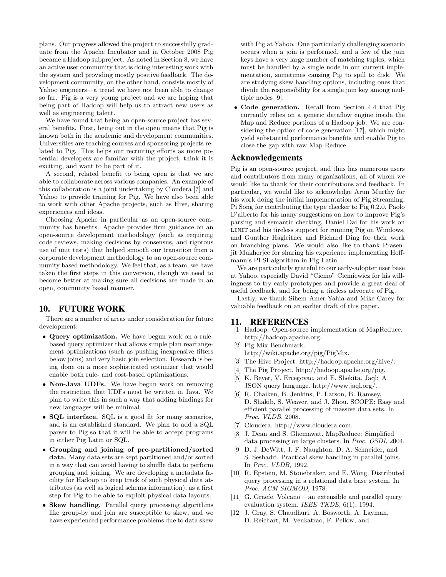plans. Our progress allowed the project to successfully graduate from the Apache Incubator and in October 2008 Pig became a Hadoop subproject. As noted in Section 8, we have an active user community that is doing interesting work with the system and providing mostly positive feedback. The development community, on the other hand, consists mostly of Yahoo engineers—a trend we have not been able to change so far. Pig is a very young project and we are hoping that being part of Hadoop will help us to attract new users as well as engineering talent.

We have found that being an open-source project has several benefits. First, being out in the open means that Pig is known both in the academic and development communities. Universities are teaching courses and sponsoring projects related to Pig. This helps our recruiting efforts as more potential developers are familiar with the project, think it is exciting, and want to be part of it.

A second, related benefit to being open is that we are able to collaborate across various companies. An example of this collaboration is a joint undertaking by Cloudera [7] and Yahoo to provide training for Pig. We have also been able to work with other Apache projects, such as Hive, sharing experiences and ideas.

Choosing Apache in particular as an open-source community has benefits. Apache provides firm guidance on an open-source development methodology (such as requiring code reviews, making decisions by consensus, and rigorous use of unit tests) that helped smooth our transition from a corporate development methodology to an open-source community based methodology. We feel that, as a team, we have taken the first steps in this conversion, though we need to become better at making sure all decisions are made in an open, community based manner.

# 10. FUTURE WORK

There are a number of areas under consideration for future development:

- Query optimization. We have begun work on a rulebased query optimizer that allows simple plan rearrangement optimizations (such as pushing inexpensive filters below joins) and very basic join selection. Research is being done on a more sophisticated optimizer that would enable both rule- and cost-based optimizations.
- Non-Java UDFs. We have begun work on removing the restriction that UDFs must be written in Java. We plan to write this in such a way that adding bindings for new languages will be minimal.
- SQL interface. SQL is a good fit for many scenarios, and is an established standard. We plan to add a SQL parser to Pig so that it will be able to accept programs in either Pig Latin or SQL.
- Grouping and joining of pre-partitioned/sorted data. Many data sets are kept partitioned and/or sorted in a way that can avoid having to shuffle data to perform grouping and joining. We are developing a metadata facility for Hadoop to keep track of such physical data attributes (as well as logical schema information), as a first step for Pig to be able to exploit physical data layouts.
- Skew handling. Parallel query processing algorithms like group-by and join are susceptible to skew, and we have experienced performance problems due to data skew

with Pig at Yahoo. One particularly challenging scenario occurs when a join is performed, and a few of the join keys have a very large number of matching tuples, which must be handled by a single node in our current implementation, sometimes causing Pig to spill to disk. We are studying skew handling options, including ones that divide the responsibility for a single join key among multiple nodes [9].

• Code generation. Recall from Section 4.4 that Pig currently relies on a generic dataflow engine inside the Map and Reduce portions of a Hadoop job. We are considering the option of code generation [17], which might yield substantial performance benefits and enable Pig to close the gap with raw Map-Reduce.

# Acknowledgements

Pig is an open-source project, and thus has numerous users and contributors from many organizations, all of whom we would like to thank for their contributions and feedback. In particular, we would like to acknowledge Arun Murthy for his work doing the initial implementation of Pig Streaming, Pi Song for contributing the type checker to Pig 0.2.0, Paolo D'alberto for his many suggestions on how to improve Pig's parsing and semantic checking, Daniel Dai for his work on LIMIT and his tireless support for running Pig on Windows, and Gunther Hagleitner and Richard Ding for their work on branching plans. We would also like to thank Prasenjit Mukherjee for sharing his experience implementing Hoffmann's PLSI algorithm in Pig Latin.

We are particularly grateful to our early-adopter user base at Yahoo, especially David "Ciemo" Ciemiewicz for his willingness to try early prototypes and provide a great deal of useful feedback, and for being a tireless advocate of Pig.

Lastly, we thank Sihem Amer-Yahia and Mike Carey for valuable feedback on an earlier draft of this paper.

### 11. REFERENCES

- [1] Hadoop: Open-source implementation of MapReduce. http://hadoop.apache.org.
- [2] Pig Mix Benchmark. http://wiki.apache.org/pig/PigMix.
- [3] The Hive Project. http://hadoop.apache.org/hive/.
- [4] The Pig Project. http://hadoop.apache.org/pig.
- [5] K. Beyer, V. Ercegovac, and E. Shekita. Jaql: A JSON query language. http://www.jaql.org/.
- [6] R. Chaiken, B. Jenkins, P. Larson, B. Ramsey, D. Shakib, S. Weaver, and J. Zhou. SCOPE: Easy and efficient parallel processing of massive data sets. In Proc. VLDB, 2008.
- [7] Cloudera. http://www.cloudera.com.
- [8] J. Dean and S. Ghemawat. MapReduce: Simplified data processing on large clusters. In Proc. OSDI, 2004.
- [9] D. J. DeWitt, J. F. Naughton, D. A. Schneider, and S. Seshadri. Practical skew handling in parallel joins. In Proc. VLDB, 1992.
- [10] R. Epstein, M. Stonebraker, and E. Wong. Distributed query processing in a relational data base system. In Proc. ACM SIGMOD, 1978.
- [11] G. Graefe. Volcano an extensible and parallel query evaluation system. IEEE TKDE, 6(1), 1994.
- [12] J. Gray, S. Chaudhuri, A. Bosworth, A. Layman, D. Reichart, M. Venkatrao, F. Pellow, and